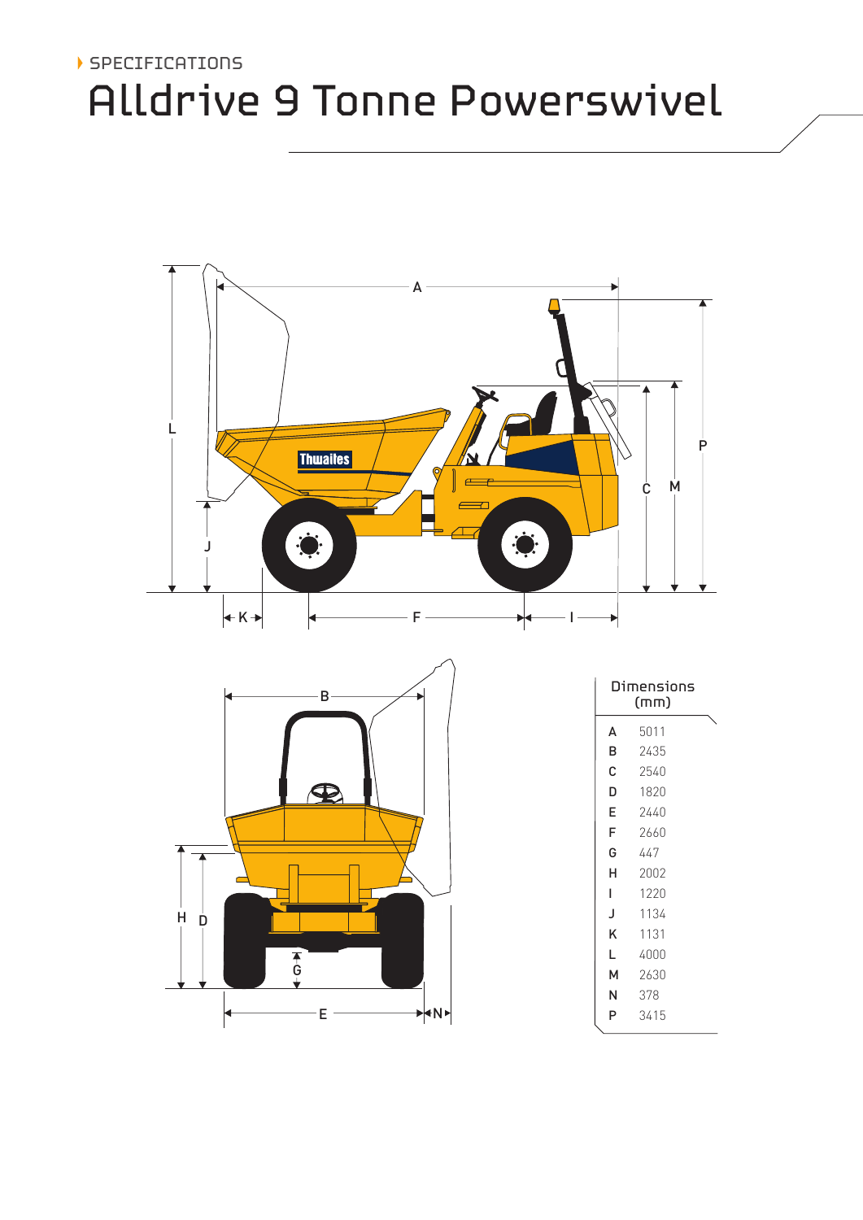# SPECIFICATIONS Alldrive 9 Tonne Powerswivel



|        | c                         |  |
|--------|---------------------------|--|
| н<br>Ď |                           |  |
|        | $\frac{1}{6}$<br>۱Ņ)<br>E |  |

| Dimensions<br>(mm) |      |  |  |  |
|--------------------|------|--|--|--|
| A                  | 5011 |  |  |  |
| B                  | 2435 |  |  |  |
| Ć                  | 2540 |  |  |  |
| D                  | 1820 |  |  |  |
| E                  | 2440 |  |  |  |
| F                  | 2660 |  |  |  |
| G                  | 447  |  |  |  |
| н                  | 2002 |  |  |  |
| L                  | 1220 |  |  |  |
| J                  | 1134 |  |  |  |
| Κ                  | 1131 |  |  |  |
| L                  | 4000 |  |  |  |
| м                  | 2630 |  |  |  |
| N                  | 378  |  |  |  |
| P                  | 3415 |  |  |  |